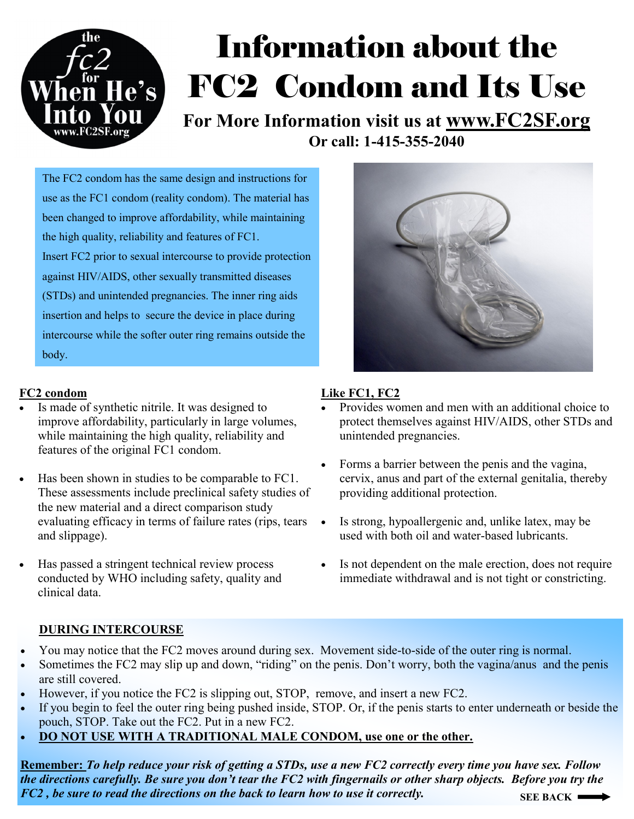

# Information about the FC2 Condom and Its Use

**For More Information visit us at www.FC2SF.org Or call: 1-415-355-2040**

The FC2 condom has the same design and instructions for use as the FC1 condom (reality condom). The material has been changed to improve affordability, while maintaining the high quality, reliability and features of FC1. Insert FC2 prior to sexual intercourse to provide protection against HIV/AIDS, other sexually transmitted diseases (STDs) and unintended pregnancies. The inner ring aids insertion and helps to secure the device in place during intercourse while the softer outer ring remains outside the body.

### **FC2 condom**

- Is made of synthetic nitrile. It was designed to improve affordability, particularly in large volumes, while maintaining the high quality, reliability and features of the original FC1 condom.
- Has been shown in studies to be comparable to FC1. These assessments include preclinical safety studies of the new material and a direct comparison study evaluating efficacy in terms of failure rates (rips, tears and slippage).
- Has passed a stringent technical review process conducted by WHO including safety, quality and clinical data.



### **Like FC1, FC2**

- Provides women and men with an additional choice to protect themselves against HIV/AIDS, other STDs and unintended pregnancies.
- Forms a barrier between the penis and the vagina, cervix, anus and part of the external genitalia, thereby providing additional protection.
- Is strong, hypoallergenic and, unlike latex, may be used with both oil and water-based lubricants.
- Is not dependent on the male erection, does not require immediate withdrawal and is not tight or constricting.

### **DURING INTERCOURSE**

- You may notice that the FC2 moves around during sex. Movement side-to-side of the outer ring is normal.
- Sometimes the FC2 may slip up and down, "riding" on the penis. Don't worry, both the vagina/anus and the penis are still covered.
- However, if you notice the FC2 is slipping out, STOP, remove, and insert a new FC2.
- If you begin to feel the outer ring being pushed inside, STOP. Or, if the penis starts to enter underneath or beside the pouch, STOP. Take out the FC2. Put in a new FC2.
- **DO NOT USE WITH A TRADITIONAL MALE CONDOM, use one or the other.**

**Remember:** *To help reduce your risk of getting a STDs, use a new FC2 correctly every time you have sex. Follow the directions carefully. Be sure you don't tear the FC2 with fingernails or other sharp objects. Before you try the FC2 , be sure to read the directions on the back to learn how to use it correctly.*  **SEE BACK**